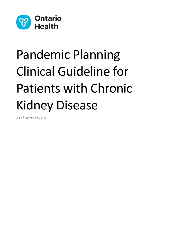

# Pandemic Planning Clinical Guideline for Patients with Chronic Kidney Disease

As of March 09, 2020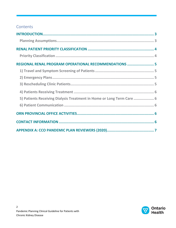## Contents

| REGIONAL RENAL PROGRAM OPERATIONAL RECOMMENDATIONS  5                 |  |
|-----------------------------------------------------------------------|--|
|                                                                       |  |
|                                                                       |  |
|                                                                       |  |
|                                                                       |  |
| 5) Patients Receiving Dialysis Treatment in Home or Long Term Care  6 |  |
|                                                                       |  |
|                                                                       |  |
|                                                                       |  |
|                                                                       |  |

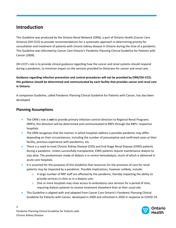# <span id="page-2-0"></span>**Introduction**

This Guideline was produced by the Ontario Renal Network (ORN), a part of Ontario Health (Cancer Care Ontario) (OH-CCO) to provide recommendations for a systematic approach in determining priority for consultation and treatment of patients with chronic kidney disease in Ontario during the time of a pandemic. This Guideline was informed by Cancer Care Ontario's Pandemic Planning Clinical Guideline for Patients with Cancer (2009).

OH-CCO's role is to provide clinical guidance regarding how the cancer and renal systems should respond during a pandemic, to minimize impact on the services provided to Ontarians for cancer and renal care.

**Guidance regarding infection prevention and control procedures will not be provided by ORN/OH-CCO; this guidance should be determined and communicated by each facility that provides cancer and renal care in Ontario.** 

A companion Guideline, called Pandemic Planning Clinical Guideline for Patients with Cancer, has also been developed.

## <span id="page-2-1"></span>**Planning Assumptions**

- The ORN's role is **not** to provide primary infection control direction to Regional Renal Programs (RRPs); this direction will be determined and communicated to RRPs through the RRPs' respective hospitals.
- The ORN recognizes that the manner in which hospitals address a possible pandemic may differ depending on their circumstances, including the number of presumptive and confirmed cases at their facility, previous experience with pandemics, etc.
- There is a need to treat Chronic Kidney Disease (CKD) and End-Stage Renal Disease (ESRD) patients during a pandemic. Unless successfully transplanted, ESRD patients require maintenance dialysis to stay alive. The predominant mode of dialysis is in-centre hemodialysis, much of which is delivered in acute care hospitals.
- It is assumed for the purposes of this Guideline that resources for the provision of care for renal patients may be impacted by a pandemic. Possible implications, however unlikely, include:
	- $\circ$  A large number of RRP staff are affected by the pandemic, thereby impacting the ability to provide services in clinic or in a dialysis unit;
	- $\circ$  One or more hospitals may close access to ambulatory care services for a period of time, requiring dialysis patients to receive treatment elsewhere than at their usual site.
- This Guideline is aligned with and adapted from Cancer Care Ontario's Pandemic Planning Clinical Guideline for Patients with Cancer, developed in 2009 and refreshed in 2020 in response to COVID-19.

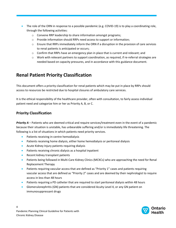• The role of the ORN in response to a possible pandemic (e.g. COVID-19) is to play a coordinating role, through the following activities:

- o Convene RRP leadership to share information amongst programs;
- o Provide information should RRPs need access to support or information;
- o Ensure that RRPs immediately inform the ORN if a disruption in the provision of care services to renal patients is anticipated or occurs;
- $\circ$  Confirm that RRPs have an emergency plan in place that is current and relevant; and
- o Work with relevant partners to support coordination, as required, if re-referral strategies are needed based on capacity pressures, and in accordance with this guidance document.

# <span id="page-3-0"></span>**Renal Patient Priority Classification**

This document offers a priority classification for renal patients which may be put in place by RRPs should access to resources be restricted due to hospital closures of ambulatory care services.

It is the ethical responsibility of the healthcare provider, often with consultation, to fairly assess individual patient need and categorize him or her as Priority A, B, or C.

### <span id="page-3-1"></span>**Priority Classification**

*Priority A* – Patients who are deemed critical and require services/treatment even in the event of a pandemic because their situation is unstable, has unbearable suffering and/or is immediately life threatening. The following is a list of situations in which patients need priority services.

- Patients receiving in-centre hemodialysis
- Patients receiving home dialysis, either home hemodialysis or peritoneal dialysis
- Acute Kidney Injury patients requiring dialysis
- Patients receiving chronic dialysis as a hospital inpatient
- Recent kidney transplant patients
- **•** Patients being followed in Multi-Care Kidney Clinics (MCKCs) who are approaching the need for Renal Replacement Therapy
- Patients requiring vascular access that are defined as "Priority 1" cases and patients requiring vascular access that are defined as "Priority 2" cases and are deemed by their nephrologist to require access in less than 48 hours
- Patients requiring a PD catheter that are required to start peritoneal dialysis within 48 hours
- Glomerulonephritis (GN) patients that are considered Acuity Level 4, or any GN patient on immunosuppressant drugs

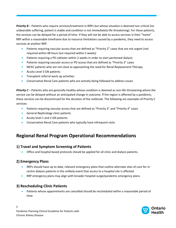**Priority B** – Patients who require services/treatment in RRPs but whose situation is deemed non-critical (no unbearable suffering, patient is stable and condition is not immediately life threatening). For these patients, the services can be delayed for a period of time. If they will not be able to access services in their "home" RRP within a reasonable timeframe due to resource limitations caused by a pandemic, they need to access services at another RRP.

- Patients requiring vascular access that are defined as "Priority 2" cases that are not urgent (not required within 48 hours but required within 2 weeks)
- Patients requiring a PD catheter within 2 weeks in order to start peritoneal dialysis
- Patients requiring vascular access or PD access that are defined as "Priority 3" cases
- MCKC patients who are not close to approaching the need for Renal Replacement Therapy
- **Acuity Level 3 GN patients**
- **•** Transplant referral work-up activities
- Conservative Renal Care patients who are actively being followed to address issues

*Priority C* – Patients who are generally healthy whose condition is deemed as non-life threatening where the service can be delayed without an anticipated change in outcome. If the region is affected by a pandemic, these services can be discontinued for the duration of the outbreak. The following are examples of Priority C services:

- **•** Patients requiring vascular access that are defined as "Priority 3" and "Priority 4" cases
- **General Nephrology clinic patients**
- Acuity level 1 and 2 GN patients
- Conservative Renal Care patients who typically have infrequent visits

# <span id="page-4-0"></span>**Regional Renal Program Operational Recommendations**

## <span id="page-4-1"></span>**1) Travel and Symptom Screening of Patients**

Office and hospital based protocols should be applied for all clinic and dialysis patients.

## <span id="page-4-2"></span>**2) Emergency Plans**

- RRPs should have up to date, relevant emergency plans that outline alternate sites of care for incentre dialysis patients in the unlikely event that access to a hospital site is affected.
- RRP emergency plans may align with broader hospital surge/pandemic emergency plans.

## <span id="page-4-3"></span>**3) Rescheduling Clinic Patients**

 Patients whose appointments are cancelled should be rescheduled within a reasonable period of time.



Pandemic Planning Clinical Guideline for Patients with Chronic Kidney Disease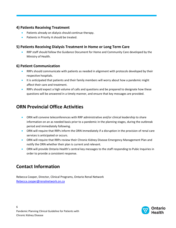## <span id="page-5-0"></span>**4) Patients Receiving Treatment**

- **•** Patients already on dialysis should continue therapy.
- Patients in Priority A should be treated.

#### <span id="page-5-1"></span>**5) Patients Receiving Dialysis Treatment in Home or Long Term Care**

 RRP staff should follow the Guidance Document for Home and Community Care developed by the Ministry of Health.

#### <span id="page-5-2"></span>**6) Patient Communication**

- RRPs should communicate with patients as needed in alignment with protocols developed by their respective hospitals.
- It is anticipated that patients and their family members will worry about how a pandemic might affect their care and treatment.
- **RRPs should expect a high volume of calls and questions and be prepared to designate how these** questions will be answered in a timely manner, and ensure that key messages are provided.

# <span id="page-5-3"></span>**ORN Provincial Office Activities**

- ORN will convene teleconferences with RRP administrative and/or clinical leadership to share information on an as needed basis prior to a pandemic in the planning stages, during the outbreak period and immediately following.
- ORN will require that RRPs inform the ORN immediately if a disruption in the provision of renal care services is anticipated or occurs.
- ORN will require that RRPs review their Chronic Kidney Disease Emergency Management Plan and notify the ORN whether their plan is current and relevant.
- ORN will provide Ontario Health's central key messages to the staff responding to Pubic Inquiries in order to provide a consistent response.

# <span id="page-5-4"></span>**Contact Information**

Rebecca Cooper, Director, Clinical Programs, Ontario Renal Network [Rebecca.cooper@renalnetwork.on.ca](mailto:Rebecca.cooper@renalnetwork.on.ca)